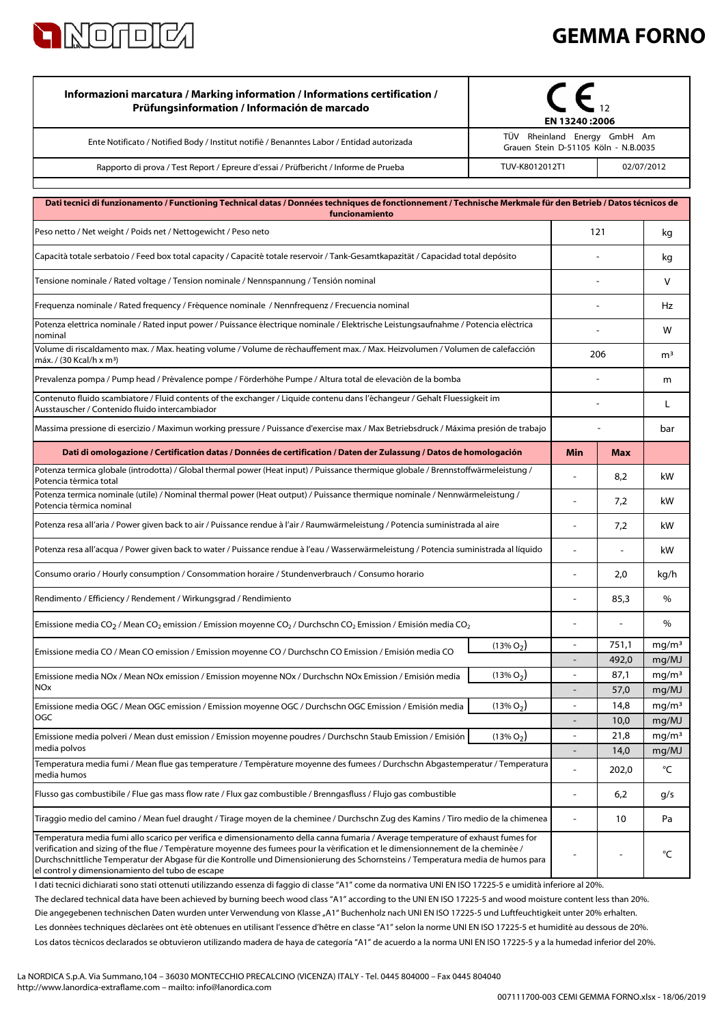

## **GEMMA FORNO**

| Informazioni marcatura / Marking information / Informations certification /<br>Prüfungsinformation / Información de marcado                                                                                                                                                                                                                                                                                                                                   | EN 13240:2006                                                        |                          |                |                            |
|---------------------------------------------------------------------------------------------------------------------------------------------------------------------------------------------------------------------------------------------------------------------------------------------------------------------------------------------------------------------------------------------------------------------------------------------------------------|----------------------------------------------------------------------|--------------------------|----------------|----------------------------|
| Ente Notificato / Notified Body / Institut notifiè / Benanntes Labor / Entidad autorizada                                                                                                                                                                                                                                                                                                                                                                     | TÜV Rheinland Energy GmbH Am<br>Grauen Stein D-51105 Köln - N.B.0035 |                          |                |                            |
| Rapporto di prova / Test Report / Epreure d'essai / Prüfbericht / Informe de Prueba                                                                                                                                                                                                                                                                                                                                                                           | TUV-K8012012T1<br>02/07/2012                                         |                          |                |                            |
| Dati tecnici di funzionamento / Functioning Technical datas / Données techniques de fonctionnement / Technische Merkmale für den Betrieb / Datos técnicos de                                                                                                                                                                                                                                                                                                  |                                                                      |                          |                |                            |
| funcionamiento                                                                                                                                                                                                                                                                                                                                                                                                                                                |                                                                      |                          |                |                            |
| Peso netto / Net weight / Poids net / Nettogewicht / Peso neto                                                                                                                                                                                                                                                                                                                                                                                                |                                                                      | 121                      |                | kg                         |
| Capacità totale serbatoio / Feed box total capacity / Capacité totale reservoir / Tank-Gesamtkapazität / Capacidad total depósito                                                                                                                                                                                                                                                                                                                             |                                                                      |                          |                | kg                         |
| Tensione nominale / Rated voltage / Tension nominale / Nennspannung / Tensión nominal                                                                                                                                                                                                                                                                                                                                                                         |                                                                      |                          |                | V                          |
| Frequenza nominale / Rated frequency / Fréquence nominale / Nennfrequenz / Frecuencia nominal                                                                                                                                                                                                                                                                                                                                                                 |                                                                      |                          |                | Hz                         |
| Potenza elettrica nominale / Rated input power / Puissance électrique nominale / Elektrische Leistungsaufnahme / Potencia eléctrica<br>nominal                                                                                                                                                                                                                                                                                                                |                                                                      |                          |                | w                          |
| Volume di riscaldamento max. / Max. heating volume / Volume de réchauffement max. / Max. Heizvolumen / Volumen de calefacción<br>máx. / (30 Kcal/h x m <sup>3</sup> )                                                                                                                                                                                                                                                                                         |                                                                      | 206                      |                | m <sup>3</sup>             |
| Prevalenza pompa / Pump head / Prévalence pompe / Förderhöhe Pumpe / Altura total de elevaciòn de la bomba                                                                                                                                                                                                                                                                                                                                                    |                                                                      |                          |                | m                          |
| Contenuto fluido scambiatore / Fluid contents of the exchanger / Liquide contenu dans l'échangeur / Gehalt Fluessigkeit im<br>Ausstauscher / Contenido fluido intercambiador                                                                                                                                                                                                                                                                                  |                                                                      |                          |                | L                          |
| Massima pressione di esercizio / Maximun working pressure / Puissance d'exercise max / Max Betriebsdruck / Máxima presión de trabajo                                                                                                                                                                                                                                                                                                                          |                                                                      |                          |                | bar                        |
| Dati di omologazione / Certification datas / Données de certification / Daten der Zulassung / Datos de homologación                                                                                                                                                                                                                                                                                                                                           |                                                                      | Min                      | Max            |                            |
| Potenza termica globale (introdotta) / Global thermal power (Heat input) / Puissance thermique globale / Brennstoffwärmeleistung /<br>Potencia térmica total                                                                                                                                                                                                                                                                                                  |                                                                      |                          | 8,2            | kW                         |
| Potenza termica nominale (utile) / Nominal thermal power (Heat output) / Puissance thermique nominale / Nennwärmeleistung /<br>Potencia térmica nominal                                                                                                                                                                                                                                                                                                       |                                                                      | ä,                       | 7,2            | kW                         |
| Potenza resa all'aria / Power given back to air / Puissance rendue à l'air / Raumwärmeleistung / Potencia suministrada al aire                                                                                                                                                                                                                                                                                                                                |                                                                      |                          | 7,2            | kW                         |
| Potenza resa all'acqua / Power given back to water / Puissance rendue à l'eau / Wasserwärmeleistung / Potencia suministrada al líquido                                                                                                                                                                                                                                                                                                                        |                                                                      | ÷.                       | $\blacksquare$ | kW                         |
| Consumo orario / Hourly consumption / Consommation horaire / Stundenverbrauch / Consumo horario                                                                                                                                                                                                                                                                                                                                                               |                                                                      |                          | 2,0            | kg/h                       |
| Rendimento / Efficiency / Rendement / Wirkungsgrad / Rendimiento                                                                                                                                                                                                                                                                                                                                                                                              |                                                                      |                          | 85,3           | $\%$                       |
| Emissione media CO <sub>2</sub> / Mean CO <sub>2</sub> emission / Emission moyenne CO <sub>2</sub> / Durchschn CO <sub>2</sub> Emission / Emisión media CO <sub>2</sub>                                                                                                                                                                                                                                                                                       |                                                                      |                          |                | $\%$                       |
| Emissione media CO / Mean CO emission / Emission moyenne CO / Durchschn CO Emission / Emisión media CO                                                                                                                                                                                                                                                                                                                                                        | $(13\% O_2)$                                                         | $\blacksquare$           | 751,1          | mg/m <sup>3</sup>          |
| Emissione media NOx / Mean NOx emission / Emission moyenne NOx / Durchschn NOx Emission / Emisión media                                                                                                                                                                                                                                                                                                                                                       | $(13\% O_2)$                                                         | $\blacksquare$           | 492,0<br>87,1  | mg/MJ<br>mg/m <sup>3</sup> |
| <b>NOx</b>                                                                                                                                                                                                                                                                                                                                                                                                                                                    |                                                                      |                          | 57,0           | mg/MJ                      |
| Emissione media OGC / Mean OGC emission / Emission moyenne OGC / Durchschn OGC Emission / Emisión media                                                                                                                                                                                                                                                                                                                                                       | $(13\% O_2)$                                                         | $\overline{\phantom{a}}$ | 14,8           | mg/m <sup>3</sup>          |
| OGC                                                                                                                                                                                                                                                                                                                                                                                                                                                           |                                                                      |                          | 10,0           | mg/MJ                      |
| Emissione media polveri / Mean dust emission / Emission moyenne poudres / Durchschn Staub Emission / Emisión<br>media polvos                                                                                                                                                                                                                                                                                                                                  | $(13\% O_2)$                                                         | L,                       | 21,8<br>14,0   | mq/m <sup>3</sup><br>mg/MJ |
| Temperatura media fumi / Mean flue gas temperature / Température moyenne des fumees / Durchschn Abgastemperatur / Temperatura<br>media humos                                                                                                                                                                                                                                                                                                                  |                                                                      |                          | 202,0          | °C                         |
| Flusso gas combustibile / Flue gas mass flow rate / Flux gaz combustible / Brenngasfluss / Flujo gas combustible                                                                                                                                                                                                                                                                                                                                              |                                                                      |                          | 6,2            | g/s                        |
| Tiraggio medio del camino / Mean fuel draught / Tirage moyen de la cheminee / Durchschn Zug des Kamins / Tiro medio de la chimenea                                                                                                                                                                                                                                                                                                                            |                                                                      |                          | 10             | Pa                         |
| Temperatura media fumi allo scarico per verifica e dimensionamento della canna fumaria / Average temperature of exhaust fumes for<br>verification and sizing of the flue / Température moyenne des fumees pour la vérification et le dimensionnement de la cheminée /<br>Durchschnittliche Temperatur der Abgase für die Kontrolle und Dimensionierung des Schornsteins / Temperatura media de humos para<br>el control y dimensionamiento del tubo de escape |                                                                      |                          |                | °C                         |

Los datos técnicos declarados se obtuvieron utilizando madera de haya de categoría "A1" de acuerdo a la norma UNI EN ISO 17225-5 y a la humedad inferior del 20%. Les données techniques déclarées ont été obtenues en utilisant l'essence d'hêtre en classe "A1" selon la norme UNI EN ISO 17225-5 et humidité au dessous de 20%. I dati tecnici dichiarati sono stati ottenuti utilizzando essenza di faggio di classe "A1" come da normativa UNI EN ISO 17225-5 e umidità inferiore al 20%. Die angegebenen technischen Daten wurden unter Verwendung von Klasse "A1" Buchenholz nach UNI EN ISO 17225-5 und Luftfeuchtigkeit unter 20% erhalten. The declared technical data have been achieved by burning beech wood class "A1" according to the UNI EN ISO 17225-5 and wood moisture content less than 20%.